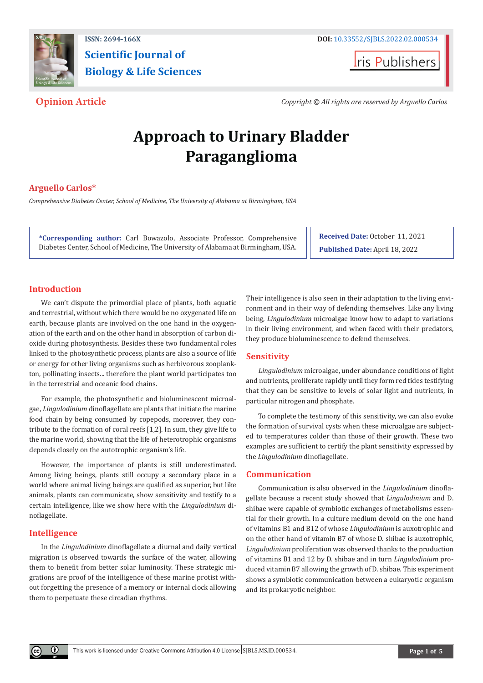

**Scientific Journal of Biology & Life Sciences**

**Iris Publishers** 

**Opinion Article** *Copyright © All rights are reserved by Arguello Carlos*

# **Approach to Urinary Bladder Paraganglioma**

# **Arguello Carlos\***

*Comprehensive Diabetes Center, School of Medicine, The University of Alabama at Birmingham, USA*

**\*Corresponding author:** Carl Bowazolo, Associate Professor, Comprehensive Diabetes Center, School of Medicine, The University of Alabama at Birmingham, USA. **Received Date:** October 11, 2021 **Published Date:** April 18, 2022

# **Introduction**

We can't dispute the primordial place of plants, both aquatic and terrestrial, without which there would be no oxygenated life on earth, because plants are involved on the one hand in the oxygenation of the earth and on the other hand in absorption of carbon dioxide during photosynthesis. Besides these two fundamental roles linked to the photosynthetic process, plants are also a source of life or energy for other living organisms such as herbivorous zooplankton, pollinating insects... therefore the plant world participates too in the terrestrial and oceanic food chains.

For example, the photosynthetic and bioluminescent microalgae, *Lingulodinium* dinoflagellate are plants that initiate the marine food chain by being consumed by copepods, moreover, they contribute to the formation of coral reefs [1,2]. In sum, they give life to the marine world, showing that the life of heterotrophic organisms depends closely on the autotrophic organism's life.

However, the importance of plants is still underestimated. Among living beings, plants still occupy a secondary place in a world where animal living beings are qualified as superior, but like animals, plants can communicate, show sensitivity and testify to a certain intelligence, like we show here with the *Lingulodinium* dinoflagellate.

### **Intelligence**

In the *Lingulodinium* dinoflagellate a diurnal and daily vertical migration is observed towards the surface of the water, allowing them to benefit from better solar luminosity. These strategic migrations are proof of the intelligence of these marine protist without forgetting the presence of a memory or internal clock allowing them to perpetuate these circadian rhythms.

Their intelligence is also seen in their adaptation to the living environment and in their way of defending themselves. Like any living being, *Lingulodinium* microalgae know how to adapt to variations in their living environment, and when faced with their predators, they produce bioluminescence to defend themselves.

# **Sensitivity**

*Lingulodinium* microalgae, under abundance conditions of light and nutrients, proliferate rapidly until they form red tides testifying that they can be sensitive to levels of solar light and nutrients, in particular nitrogen and phosphate.

To complete the testimony of this sensitivity, we can also evoke the formation of survival cysts when these microalgae are subjected to temperatures colder than those of their growth. These two examples are sufficient to certify the plant sensitivity expressed by the *Lingulodinium* dinoflagellate.

### **Communication**

Communication is also observed in the *Lingulodinium* dinoflagellate because a recent study showed that *Lingulodinium* and D. shibae were capable of symbiotic exchanges of metabolisms essential for their growth. In a culture medium devoid on the one hand of vitamins B1 and B12 of whose *Lingulodinium* is auxotrophic and on the other hand of vitamin B7 of whose D. shibae is auxotrophic, *Lingulodinium* proliferation was observed thanks to the production of vitamins B1 and 12 by D. shibae and in turn *Lingulodinium* produced vitamin B7 allowing the growth of D. shibae. This experiment shows a symbiotic communication between a eukaryotic organism and its prokaryotic neighbor.